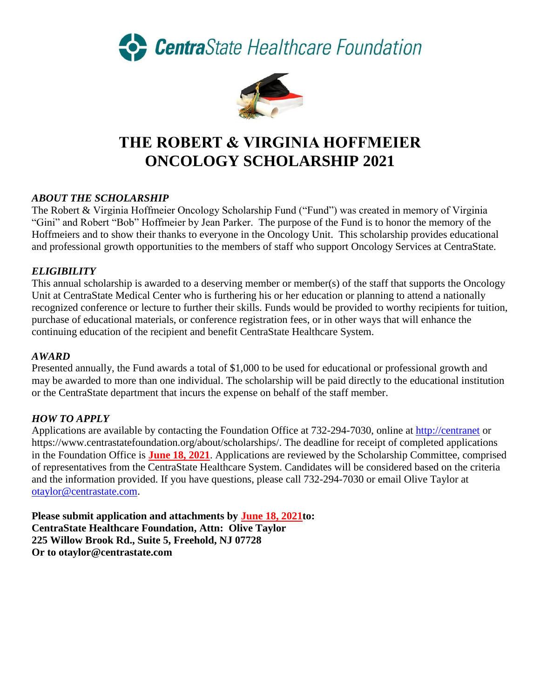CentraState Healthcare Foundation



# **THE ROBERT & VIRGINIA HOFFMEIER ONCOLOGY SCHOLARSHIP 2021**

# *ABOUT THE SCHOLARSHIP*

The Robert & Virginia Hoffmeier Oncology Scholarship Fund ("Fund") was created in memory of Virginia "Gini" and Robert "Bob" Hoffmeier by Jean Parker. The purpose of the Fund is to honor the memory of the Hoffmeiers and to show their thanks to everyone in the Oncology Unit. This scholarship provides educational and professional growth opportunities to the members of staff who support Oncology Services at CentraState.

## *ELIGIBILITY*

This annual scholarship is awarded to a deserving member or member(s) of the staff that supports the Oncology Unit at CentraState Medical Center who is furthering his or her education or planning to attend a nationally recognized conference or lecture to further their skills. Funds would be provided to worthy recipients for tuition, purchase of educational materials, or conference registration fees, or in other ways that will enhance the continuing education of the recipient and benefit CentraState Healthcare System.

#### *AWARD*

Presented annually, the Fund awards a total of \$1,000 to be used for educational or professional growth and may be awarded to more than one individual. The scholarship will be paid directly to the educational institution or the CentraState department that incurs the expense on behalf of the staff member.

## *HOW TO APPLY*

Applications are available by contacting the Foundation Office at 732-294-7030, online at [http://centranet](http://centranet/) or https://www.centrastatefoundation.org/about/scholarships/. The deadline for receipt of completed applications in the Foundation Office is **June 18, 2021**. Applications are reviewed by the Scholarship Committee, comprised of representatives from the CentraState Healthcare System. Candidates will be considered based on the criteria and the information provided. If you have questions, please call 732-294-7030 or email Olive Taylor at [otaylor@centrastate.com.](mailto:otaylor@centrastate.com)

**Please submit application and attachments by June 18, 2021to: CentraState Healthcare Foundation, Attn: Olive Taylor 225 Willow Brook Rd., Suite 5, Freehold, NJ 07728 Or to otaylor@centrastate.com**